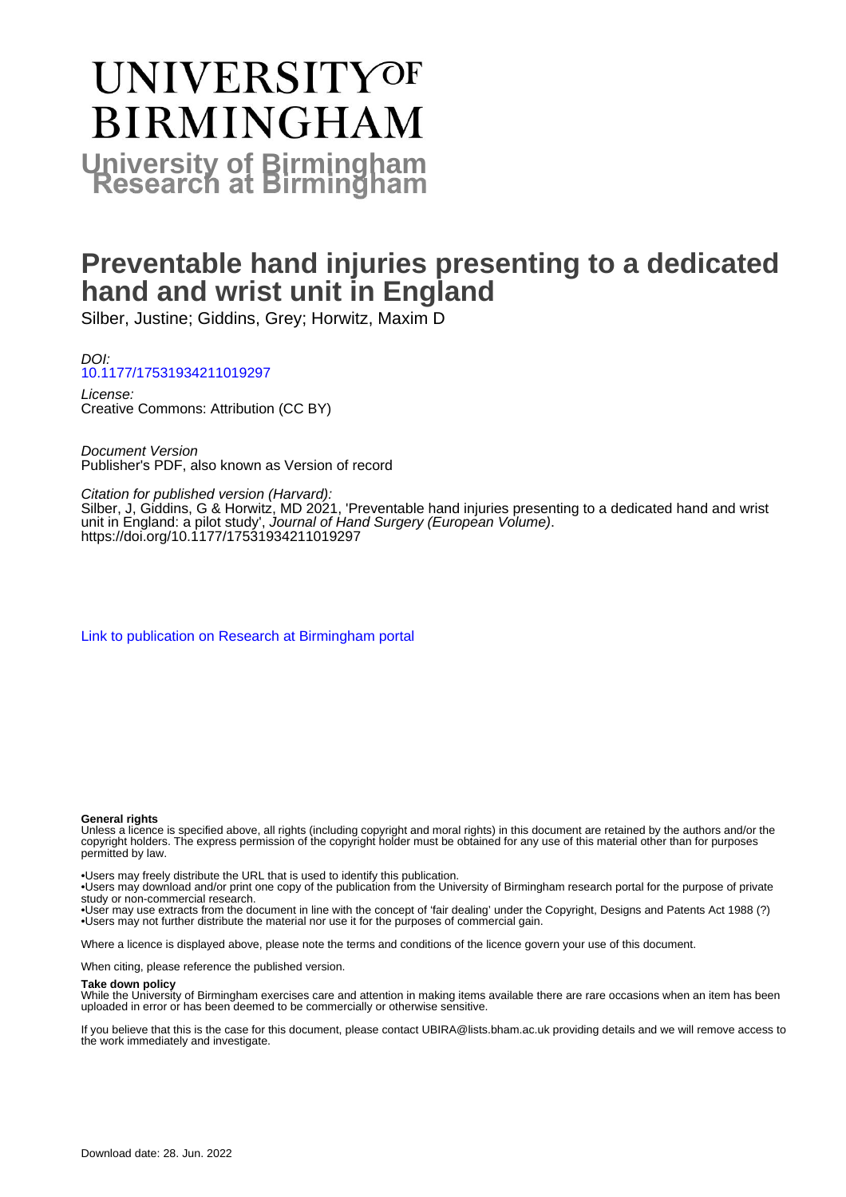# **UNIVERSITYOF BIRMINGHAM University of Birmingham**

## **Preventable hand injuries presenting to a dedicated hand and wrist unit in England**

Silber, Justine; Giddins, Grey; Horwitz, Maxim D

DOI: [10.1177/17531934211019297](https://doi.org/10.1177/17531934211019297)

License: Creative Commons: Attribution (CC BY)

Document Version Publisher's PDF, also known as Version of record

Citation for published version (Harvard):

Silber, J, Giddins, G & Horwitz, MD 2021, 'Preventable hand injuries presenting to a dedicated hand and wrist unit in England: a pilot study', Journal of Hand Surgery (European Volume). <https://doi.org/10.1177/17531934211019297>

[Link to publication on Research at Birmingham portal](https://birmingham.elsevierpure.com/en/publications/be9bd53c-67a2-427b-9e00-73c9d369bae2)

#### **General rights**

Unless a licence is specified above, all rights (including copyright and moral rights) in this document are retained by the authors and/or the copyright holders. The express permission of the copyright holder must be obtained for any use of this material other than for purposes permitted by law.

• Users may freely distribute the URL that is used to identify this publication.

• Users may download and/or print one copy of the publication from the University of Birmingham research portal for the purpose of private study or non-commercial research.

• User may use extracts from the document in line with the concept of 'fair dealing' under the Copyright, Designs and Patents Act 1988 (?) • Users may not further distribute the material nor use it for the purposes of commercial gain.

Where a licence is displayed above, please note the terms and conditions of the licence govern your use of this document.

When citing, please reference the published version.

#### **Take down policy**

While the University of Birmingham exercises care and attention in making items available there are rare occasions when an item has been uploaded in error or has been deemed to be commercially or otherwise sensitive.

If you believe that this is the case for this document, please contact UBIRA@lists.bham.ac.uk providing details and we will remove access to the work immediately and investigate.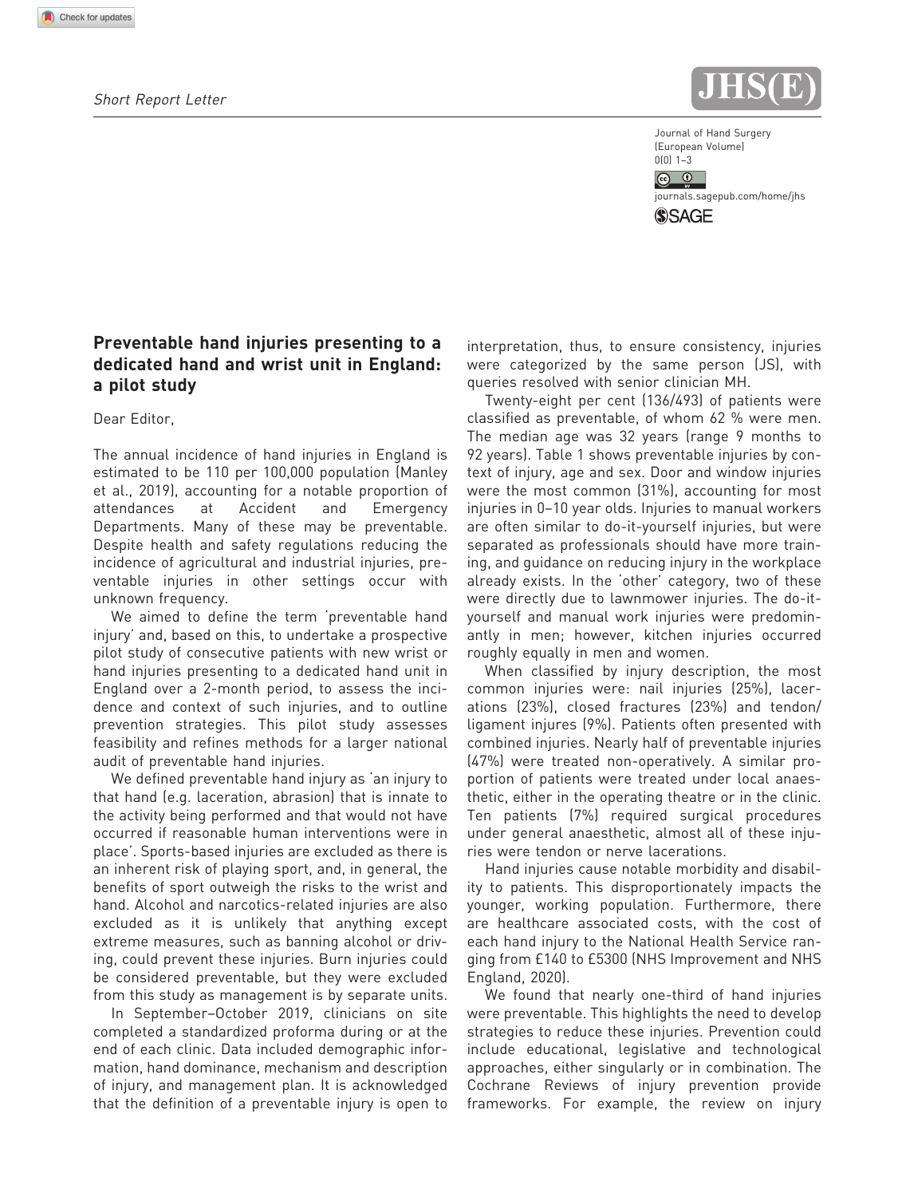

Journal of Hand Surgery (European Volume)  $0(0)$  1–3

 $\circledcirc$   $\circledcirc$ 

<journals.sagepub.com/home/jhs>**SSAGE** 

### Preventable hand injuries presenting to a dedicated hand and wrist unit in England: a pilot study

Dear Editor,

The annual incidence of hand injuries in England is estimated to be 110 per 100,000 population (Manley et al., 2019), accounting for a notable proportion of attendances at Accident and Emergency Departments. Many of these may be preventable. Despite health and safety regulations reducing the incidence of agricultural and industrial injuries, preventable injuries in other settings occur with unknown frequency.

We aimed to define the term 'preventable hand injury' and, based on this, to undertake a prospective pilot study of consecutive patients with new wrist or hand injuries presenting to a dedicated hand unit in England over a 2-month period, to assess the incidence and context of such injuries, and to outline prevention strategies. This pilot study assesses feasibility and refines methods for a larger national audit of preventable hand injuries.

We defined preventable hand injury as 'an injury to that hand (e.g. laceration, abrasion) that is innate to the activity being performed and that would not have occurred if reasonable human interventions were in place'. Sports-based injuries are excluded as there is an inherent risk of playing sport, and, in general, the benefits of sport outweigh the risks to the wrist and hand. Alcohol and narcotics-related injuries are also excluded as it is unlikely that anything except extreme measures, such as banning alcohol or driving, could prevent these injuries. Burn injuries could be considered preventable, but they were excluded from this study as management is by separate units.

In September–October 2019, clinicians on site completed a standardized proforma during or at the end of each clinic. Data included demographic information, hand dominance, mechanism and description of injury, and management plan. It is acknowledged that the definition of a preventable injury is open to interpretation, thus, to ensure consistency, injuries were categorized by the same person (JS), with queries resolved with senior clinician MH.

Twenty-eight per cent (136/493) of patients were classified as preventable, of whom 62 % were men. The median age was 32 years (range 9 months to 92 years). Table 1 shows preventable injuries by context of injury, age and sex. Door and window injuries were the most common (31%), accounting for most injuries in 0–10 year olds. Injuries to manual workers are often similar to do-it-yourself injuries, but were separated as professionals should have more training, and guidance on reducing injury in the workplace already exists. In the 'other' category, two of these were directly due to lawnmower injuries. The do-ityourself and manual work injuries were predominantly in men; however, kitchen injuries occurred roughly equally in men and women.

When classified by injury description, the most common injuries were: nail injuries (25%), lacerations (23%), closed fractures (23%) and tendon/ ligament injures (9%). Patients often presented with combined injuries. Nearly half of preventable injuries (47%) were treated non-operatively. A similar proportion of patients were treated under local anaesthetic, either in the operating theatre or in the clinic. Ten patients (7%) required surgical procedures under general anaesthetic, almost all of these injuries were tendon or nerve lacerations.

Hand injuries cause notable morbidity and disability to patients. This disproportionately impacts the younger, working population. Furthermore, there are healthcare associated costs, with the cost of each hand injury to the National Health Service ranging from £140 to £5300 (NHS Improvement and NHS England, 2020).

We found that nearly one-third of hand injuries were preventable. This highlights the need to develop strategies to reduce these injuries. Prevention could include educational, legislative and technological approaches, either singularly or in combination. The Cochrane Reviews of injury prevention provide frameworks. For example, the review on injury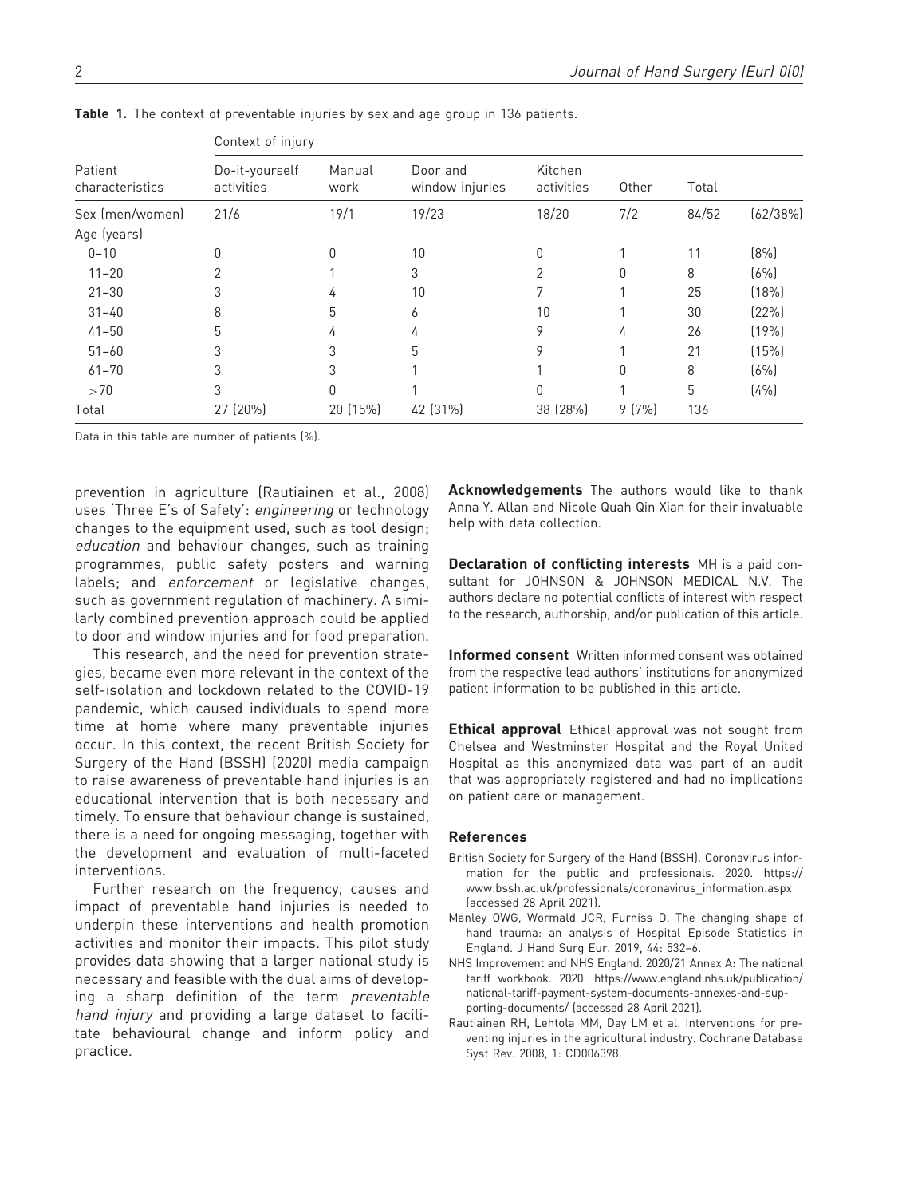| Patient<br>characteristics     | Context of injury            |                |                             |                       |       |       |          |
|--------------------------------|------------------------------|----------------|-----------------------------|-----------------------|-------|-------|----------|
|                                | Do-it-yourself<br>activities | Manual<br>work | Door and<br>window injuries | Kitchen<br>activities | Other | Total |          |
| Sex (men/women)<br>Age (years) | 21/6                         | 19/1           | 19/23                       | 18/20                 | 7/2   | 84/52 | (62/38%) |
| $0 - 10$                       | 0                            | 0              | 10                          | 0                     |       | 11    | (8%)     |
| $11 - 20$                      | $\overline{2}$               |                | 3                           | 2                     | 0     | 8     | (6%)     |
| $21 - 30$                      | 3                            | 4              | 10                          | 7                     |       | 25    | (18%)    |
| $31 - 40$                      | 8                            | 5              | 6                           | 10                    |       | 30    | (22%)    |
| $41 - 50$                      | 5                            | 4              | 4                           | 9                     | 4     | 26    | (19%     |
| $51 - 60$                      | 3                            | 3              | 5                           | 9                     |       | 21    | (15%)    |
| $61 - 70$                      | 3                            | 3              |                             |                       | 0     | 8     | (6%)     |
| >70                            | 3                            | 0              |                             | 0                     |       | 5     | (4%      |
| Total                          | 27 (20%)                     | 20 (15%)       | 42 (31%)                    | 38 (28%)              | 9(7%) | 136   |          |

Table 1. The context of preventable injuries by sex and age group in 136 patients.

Data in this table are number of patients (%).

prevention in agriculture (Rautiainen et al., 2008) uses 'Three E's of Safety': engineering or technology changes to the equipment used, such as tool design; education and behaviour changes, such as training programmes, public safety posters and warning labels; and enforcement or legislative changes, such as government regulation of machinery. A similarly combined prevention approach could be applied to door and window injuries and for food preparation.

This research, and the need for prevention strategies, became even more relevant in the context of the self-isolation and lockdown related to the COVID-19 pandemic, which caused individuals to spend more time at home where many preventable injuries occur. In this context, the recent British Society for Surgery of the Hand (BSSH) (2020) media campaign to raise awareness of preventable hand injuries is an educational intervention that is both necessary and timely. To ensure that behaviour change is sustained, there is a need for ongoing messaging, together with the development and evaluation of multi-faceted interventions.

Further research on the frequency, causes and impact of preventable hand injuries is needed to underpin these interventions and health promotion activities and monitor their impacts. This pilot study provides data showing that a larger national study is necessary and feasible with the dual aims of developing a sharp definition of the term preventable hand injury and providing a large dataset to facilitate behavioural change and inform policy and practice.

Acknowledgements The authors would like to thank Anna Y. Allan and Nicole Quah Qin Xian for their invaluable help with data collection.

Declaration of conflicting interests MH is a paid consultant for JOHNSON & JOHNSON MEDICAL N.V. The authors declare no potential conflicts of interest with respect to the research, authorship, and/or publication of this article.

Informed consent Written informed consent was obtained from the respective lead authors' institutions for anonymized patient information to be published in this article.

Ethical approval Ethical approval was not sought from Chelsea and Westminster Hospital and the Royal United Hospital as this anonymized data was part of an audit that was appropriately registered and had no implications on patient care or management.

#### References

- British Society for Surgery of the Hand (BSSH). Coronavirus information for the public and professionals. 2020. https:// www.bssh.ac.uk/professionals/coronavirus\_information.aspx (accessed 28 April 2021).
- Manley OWG, Wormald JCR, Furniss D. The changing shape of hand trauma: an analysis of Hospital Episode Statistics in England. J Hand Surg Eur. 2019, 44: 532–6.
- NHS Improvement and NHS England. 2020/21 Annex A: The national tariff workbook. 2020. https://www.england.nhs.uk/publication/ national-tariff-payment-system-documents-annexes-and-supporting-documents/ (accessed 28 April 2021).
- Rautiainen RH, Lehtola MM, Day LM et al. Interventions for preventing injuries in the agricultural industry. Cochrane Database Syst Rev. 2008, 1: CD006398.